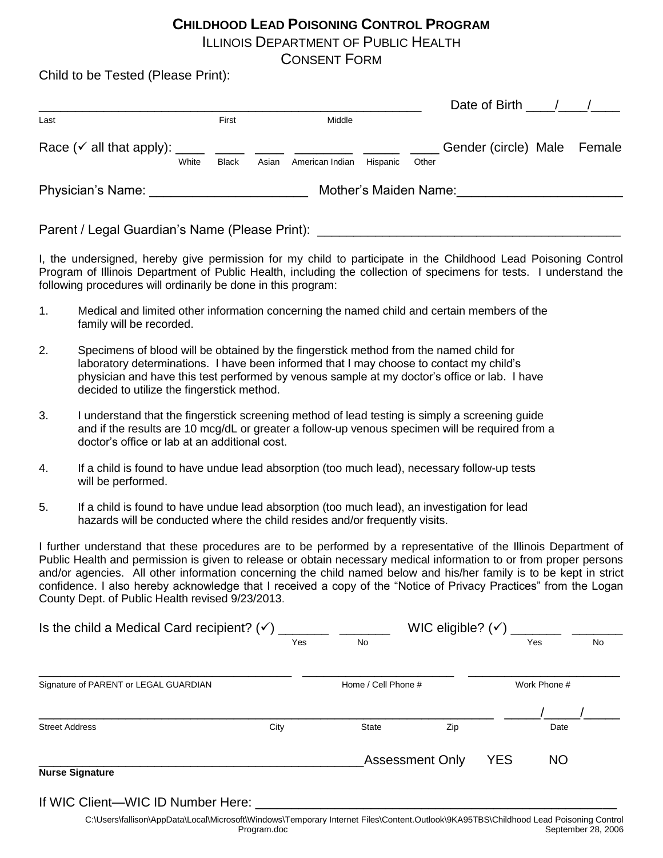# **CHILDHOOD LEAD POISONING CONTROL PROGRAM**

ILLINOIS DEPARTMENT OF PUBLIC HEALTH

CONSENT FORM

Child to be Tested (Please Print):

|                                                                        |              |                       |                 |          |       | Date of Birth $\frac{1}{2}$ / $\frac{1}{2}$ |  |
|------------------------------------------------------------------------|--------------|-----------------------|-----------------|----------|-------|---------------------------------------------|--|
| Last                                                                   | First        |                       | Middle          |          |       |                                             |  |
| Race $({\checkmark}$ all that apply): _____ _____ _____ _____<br>White | <b>Black</b> | Asian                 | American Indian | Hispanic | Other | Gender (circle) Male Female                 |  |
| Physician's Name:                                                      |              | Mother's Maiden Name: |                 |          |       |                                             |  |

Parent / Legal Guardian's Name (Please Print): \_\_\_\_\_\_\_\_\_\_\_\_\_\_\_\_\_\_\_\_\_\_\_\_\_\_\_\_\_\_\_\_\_

I, the undersigned, hereby give permission for my child to participate in the Childhood Lead Poisoning Control Program of Illinois Department of Public Health, including the collection of specimens for tests. I understand the following procedures will ordinarily be done in this program:

- 1. Medical and limited other information concerning the named child and certain members of the family will be recorded.
- 2. Specimens of blood will be obtained by the fingerstick method from the named child for laboratory determinations. I have been informed that I may choose to contact my child's physician and have this test performed by venous sample at my doctor's office or lab. I have decided to utilize the fingerstick method.
- 3. I understand that the fingerstick screening method of lead testing is simply a screening guide and if the results are 10 mcg/dL or greater a follow-up venous specimen will be required from a doctor's office or lab at an additional cost.
- 4. If a child is found to have undue lead absorption (too much lead), necessary follow-up tests will be performed.
- 5. If a child is found to have undue lead absorption (too much lead), an investigation for lead hazards will be conducted where the child resides and/or frequently visits.

I further understand that these procedures are to be performed by a representative of the Illinois Department of Public Health and permission is given to release or obtain necessary medical information to or from proper persons and/or agencies. All other information concerning the child named below and his/her family is to be kept in strict confidence. I also hereby acknowledge that I received a copy of the "Notice of Privacy Practices" from the Logan County Dept. of Public Health revised 9/23/2013.

| Is the child a Medical Card recipient? $(\checkmark)$ | WIC eligible? $(\checkmark)$ |                        |     |            |              |    |
|-------------------------------------------------------|------------------------------|------------------------|-----|------------|--------------|----|
|                                                       | Yes                          | No                     |     |            | Yes          | No |
| Signature of PARENT or LEGAL GUARDIAN                 |                              | Home / Cell Phone #    |     |            | Work Phone # |    |
| <b>Street Address</b>                                 | City                         | State                  | Zip |            | Date         |    |
| <b>Nurse Signature</b>                                |                              | <b>Assessment Only</b> |     | <b>YES</b> | <b>NO</b>    |    |

If WIC Client—WIC ID Number Here: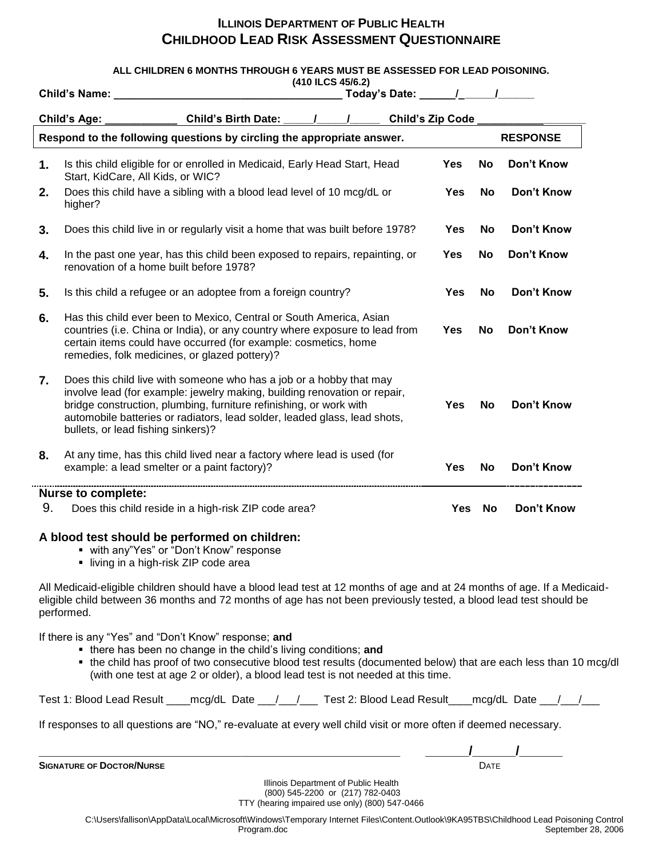# **ILLINOIS DEPARTMENT OF PUBLIC HEALTH CHILDHOOD LEAD RISK ASSESSMENT QUESTIONNAIRE**

#### **ALL CHILDREN 6 MONTHS THROUGH 6 YEARS MUST BE ASSESSED FOR LEAD POISONING.**

|                           | (410 ILCS 45/6.2)                                                                                                                                                                                                                                                                                                                         |            |           |                   |  |
|---------------------------|-------------------------------------------------------------------------------------------------------------------------------------------------------------------------------------------------------------------------------------------------------------------------------------------------------------------------------------------|------------|-----------|-------------------|--|
|                           | <b>Child's Name:</b>                                                                                                                                                                                                                                                                                                                      |            |           |                   |  |
|                           | <b>Child's Birth Date:</b><br><b>Child's Zip Code</b><br><b>Child's Age:</b>                                                                                                                                                                                                                                                              |            |           |                   |  |
|                           | Respond to the following questions by circling the appropriate answer.<br><b>RESPONSE</b>                                                                                                                                                                                                                                                 |            |           |                   |  |
| 1.                        | Is this child eligible for or enrolled in Medicaid, Early Head Start, Head<br>Start, KidCare, All Kids, or WIC?                                                                                                                                                                                                                           | <b>Yes</b> | No        | Don't Know        |  |
| 2.                        | Does this child have a sibling with a blood lead level of 10 mcg/dL or<br>higher?                                                                                                                                                                                                                                                         | Yes        | No        | <b>Don't Know</b> |  |
| 3.                        | Does this child live in or regularly visit a home that was built before 1978?                                                                                                                                                                                                                                                             | <b>Yes</b> | No        | Don't Know        |  |
| 4.                        | In the past one year, has this child been exposed to repairs, repainting, or<br>renovation of a home built before 1978?                                                                                                                                                                                                                   | <b>Yes</b> | <b>No</b> | Don't Know        |  |
| 5.                        | Is this child a refugee or an adoptee from a foreign country?                                                                                                                                                                                                                                                                             | <b>Yes</b> | <b>No</b> | <b>Don't Know</b> |  |
| 6.                        | Has this child ever been to Mexico, Central or South America, Asian<br>countries (i.e. China or India), or any country where exposure to lead from<br>certain items could have occurred (for example: cosmetics, home<br>remedies, folk medicines, or glazed pottery)?                                                                    | <b>Yes</b> | <b>No</b> | Don't Know        |  |
| 7.                        | Does this child live with someone who has a job or a hobby that may<br>involve lead (for example: jewelry making, building renovation or repair,<br>bridge construction, plumbing, furniture refinishing, or work with<br>automobile batteries or radiators, lead solder, leaded glass, lead shots,<br>bullets, or lead fishing sinkers)? | <b>Yes</b> | <b>No</b> | <b>Don't Know</b> |  |
| 8.                        | At any time, has this child lived near a factory where lead is used (for<br>example: a lead smelter or a paint factory)?                                                                                                                                                                                                                  | <b>Yes</b> | No        | <b>Don't Know</b> |  |
| <b>Nurse to complete:</b> |                                                                                                                                                                                                                                                                                                                                           |            |           |                   |  |
| 9.                        | Does this child reside in a high-risk ZIP code area?                                                                                                                                                                                                                                                                                      | Yes        | <b>No</b> | Don't Know        |  |

#### **A blood test should be performed on children:**

- with any"Yes" or "Don't Know" response
	- **I** living in a high-risk ZIP code area

All Medicaid-eligible children should have a blood lead test at 12 months of age and at 24 months of age. If a Medicaideligible child between 36 months and 72 months of age has not been previously tested, a blood lead test should be performed.

If there is any "Yes" and "Don't Know" response; **and**

- there has been no change in the child's living conditions; **and**
- the child has proof of two consecutive blood test results (documented below) that are each less than 10 mcg/dl (with one test at age 2 or older), a blood lead test is not needed at this time.

Test 1: Blood Lead Result \_\_\_\_mcg/dL Date \_\_\_/\_\_\_/ \_\_\_ Test 2: Blood Lead Result \_\_\_mcg/dL Date \_\_\_/\_\_\_/\_\_

If responses to all questions are "NO," re-evaluate at every well child visit or more often if deemed necessary.

**SIGNATURE OF DOCTOR/NURSE** 

| <b>SIGNA</b><br>THPF<br>$\mathbf{m}$ |  |
|--------------------------------------|--|

Illinois Department of Public Health (800) 545-2200 or (217) 782-0403 TTY (hearing impaired use only) (800) 547-0466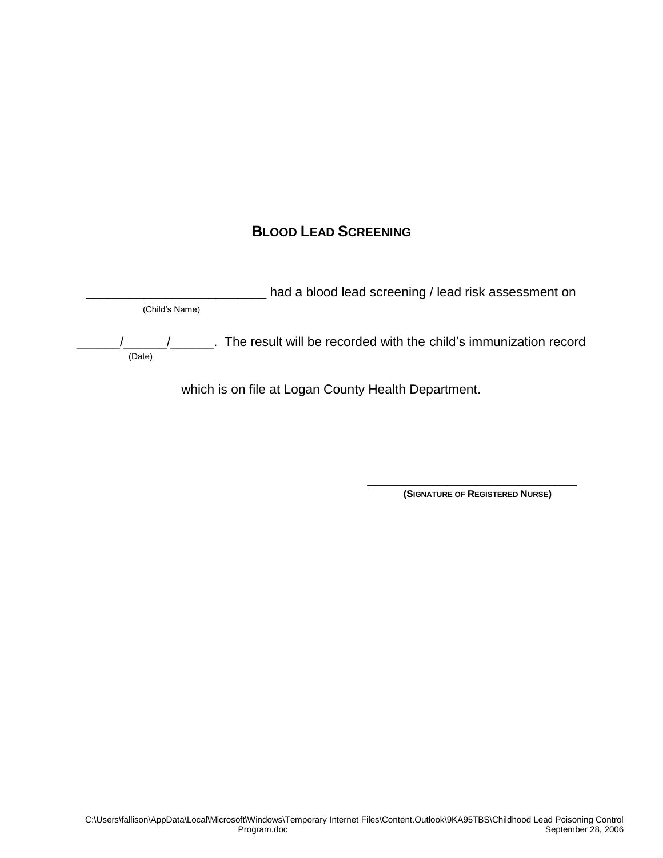# **BLOOD LEAD SCREENING**

had a blood lead screening / lead risk assessment on (Child's Name) \_\_\_\_\_\_/\_\_\_\_\_\_/\_\_\_\_\_\_. The result will be recorded with the child's immunization record (Date)

which is on file at Logan County Health Department.

 $\overline{\phantom{a}}$  , and the contract of the contract of the contract of the contract of the contract of the contract of the contract of the contract of the contract of the contract of the contract of the contract of the contrac

**(SIGNATURE OF REGISTERED NURSE)**